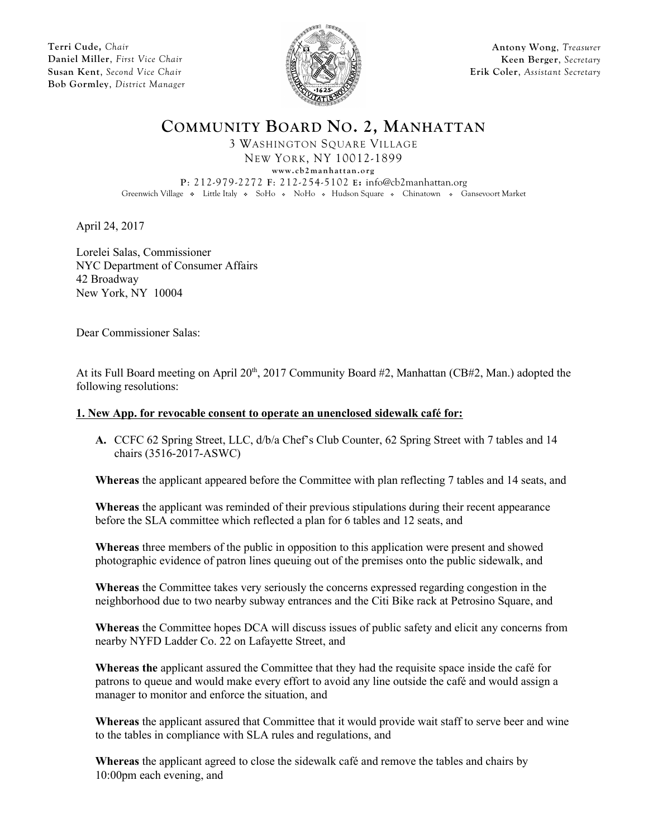**Terri Cude,** *Chair* **Daniel Miller**, *First Vice Chair* **Susan Kent**, *Second Vice Chair* **Bob Gormley**, *District Manager*



**Antony Wong**, *Treasurer* **Keen Berger**, *Secretary* **Erik Coler**, *Assistant Secretary*

**COMMUNITY BOARD NO. 2, MANHATTAN**

3 WASHINGTON SQUARE VILLAGE

NEW YORK, NY 10012-1899

 $www. cb2 manhattan.org$ **P**: 212-979-2272 **F**: 212-254-5102 **E:** info@cb2manhattan.org

Greenwich Village • Little Italy • SoHo • NoHo • Hudson Square • Chinatown • Gansevoort Market

April 24, 2017

Lorelei Salas, Commissioner NYC Department of Consumer Affairs 42 Broadway New York, NY 10004

Dear Commissioner Salas:

At its Full Board meeting on April 20<sup>th</sup>, 2017 Community Board #2, Manhattan (CB#2, Man.) adopted the following resolutions:

## **1. New App. for revocable consent to operate an unenclosed sidewalk café for:**

**A.** CCFC 62 Spring Street, LLC, d/b/a Chef's Club Counter, 62 Spring Street with 7 tables and 14 chairs (3516-2017-ASWC)

**Whereas** the applicant appeared before the Committee with plan reflecting 7 tables and 14 seats, and

**Whereas** the applicant was reminded of their previous stipulations during their recent appearance before the SLA committee which reflected a plan for 6 tables and 12 seats, and

**Whereas** three members of the public in opposition to this application were present and showed photographic evidence of patron lines queuing out of the premises onto the public sidewalk, and

**Whereas** the Committee takes very seriously the concerns expressed regarding congestion in the neighborhood due to two nearby subway entrances and the Citi Bike rack at Petrosino Square, and

**Whereas** the Committee hopes DCA will discuss issues of public safety and elicit any concerns from nearby NYFD Ladder Co. 22 on Lafayette Street, and

**Whereas the** applicant assured the Committee that they had the requisite space inside the café for patrons to queue and would make every effort to avoid any line outside the café and would assign a manager to monitor and enforce the situation, and

**Whereas** the applicant assured that Committee that it would provide wait staff to serve beer and wine to the tables in compliance with SLA rules and regulations, and

**Whereas** the applicant agreed to close the sidewalk café and remove the tables and chairs by 10:00pm each evening, and